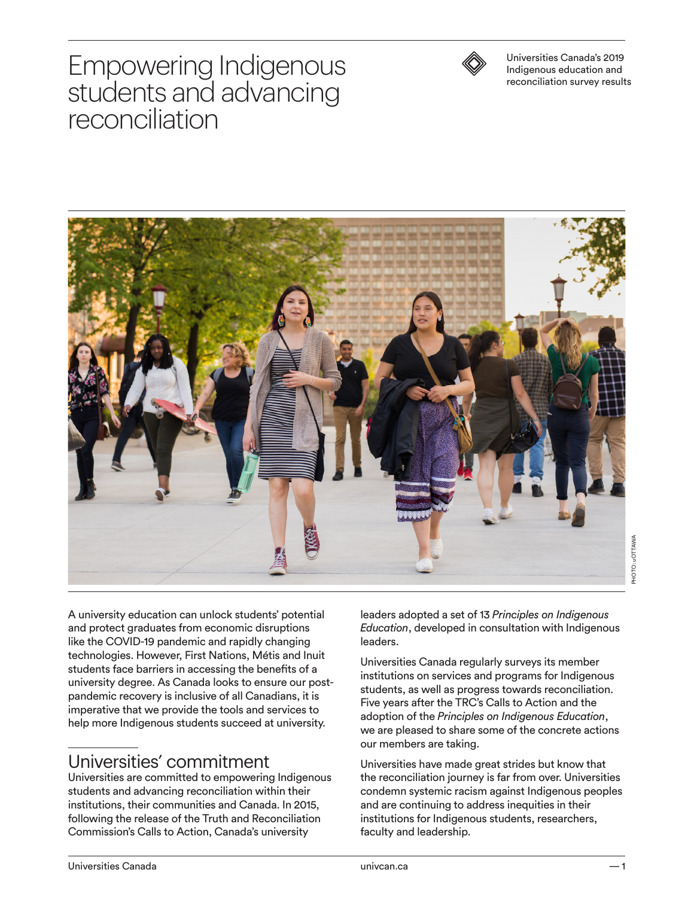# Empowering Indigenous students and advancing reconciliation



Universities Canada's 2019 Indigenous education and reconciliation survey results



A university education can unlock students' potential and protect graduates from economic disruptions like the COVID-19 pandemic and rapidly changing technologies. However, First Nations, Métis and Inuit students face barriers in accessing the benefits of a university degree. As Canada looks to ensure our postpandemic recovery is inclusive of all Canadians, it is imperative that we provide the tools and services to help more Indigenous students succeed at university.

#### Universities' commitment

Universities are committed to empowering Indigenous students and advancing reconciliation within their institutions, their communities and Canada. In 2015, following the release of the Truth and Reconciliation Commission's Calls to Action, Canada's university

leaders adopted a set of 13 *Principles on Indigenous Education*, developed in consultation with Indigenous leaders.

Universities Canada regularly surveys its member institutions on services and programs for Indigenous students, as well as progress towards reconciliation. Five years after the TRC's Calls to Action and the adoption of the *Principles on Indigenous Education*, we are pleased to share some of the concrete actions our members are taking.

Universities have made great strides but know that the reconciliation journey is far from over. Universities condemn systemic racism against Indigenous peoples and are continuing to address inequities in their institutions for Indigenous students, researchers, faculty and leadership.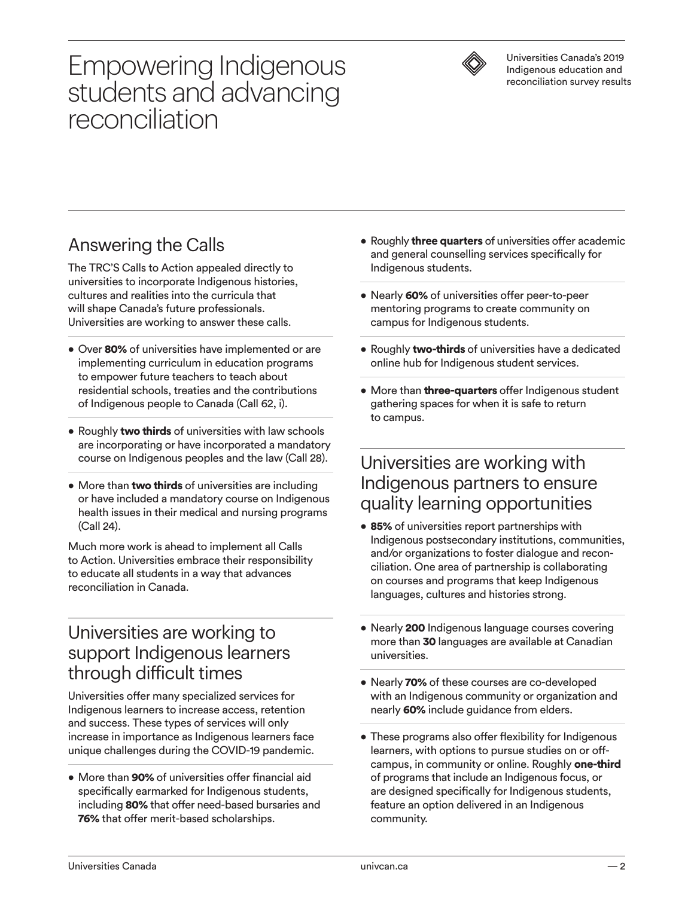# Empowering Indigenous students and advancing reconciliation



Universities Canada's 2019 Indigenous education and reconciliation survey results

### Answering the Calls

The TRC'S Calls to Action appealed directly to universities to incorporate Indigenous histories, cultures and realities into the curricula that will shape Canada's future professionals. Universities are working to answer these calls.

- Over 80% of universities have implemented or are implementing curriculum in education programs to empower future teachers to teach about residential schools, treaties and the contributions of Indigenous people to Canada (Call 62, i).
- Roughly two thirds of universities with law schools are incorporating or have incorporated a mandatory course on Indigenous peoples and the law (Call 28).
- More than two thirds of universities are including or have included a mandatory course on Indigenous health issues in their medical and nursing programs (Call 24).

Much more work is ahead to implement all Calls to Action. Universities embrace their responsibility to educate all students in a way that advances reconciliation in Canada.

#### Universities are working to support Indigenous learners through difficult times

Universities offer many specialized services for Indigenous learners to increase access, retention and success. These types of services will only increase in importance as Indigenous learners face unique challenges during the COVID-19 pandemic.

• More than 90% of universities offer financial aid specifically earmarked for Indigenous students, including 80% that offer need-based bursaries and 76% that offer merit-based scholarships.

- Roughly **three quarters** of universities offer academic and general counselling services specifically for Indigenous students.
- Nearly 60% of universities offer peer-to-peer mentoring programs to create community on campus for Indigenous students.
- Roughly two-thirds of universities have a dedicated online hub for Indigenous student services.
- More than three-quarters offer Indigenous student gathering spaces for when it is safe to return to campus.

#### Universities are working with Indigenous partners to ensure quality learning opportunities

- 85% of universities report partnerships with Indigenous postsecondary institutions, communities, and/or organizations to foster dialogue and reconciliation. One area of partnership is collaborating on courses and programs that keep Indigenous languages, cultures and histories strong.
- Nearly 200 Indigenous language courses covering more than 30 languages are available at Canadian universities.
- Nearly 70% of these courses are co-developed with an Indigenous community or organization and nearly 60% include guidance from elders.
- These programs also offer flexibility for Indigenous learners, with options to pursue studies on or offcampus, in community or online. Roughly one-third of programs that include an Indigenous focus, or are designed specifically for Indigenous students, feature an option delivered in an Indigenous community.